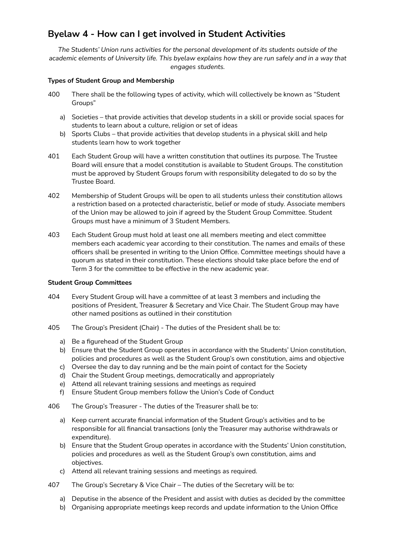# **Byelaw 4 - How can I get involved in Student Activities**

*The Students' Union runs activities for the personal development of its students outside of the* academic elements of University life. This byelaw explains how they are run safely and in a way that *engages students.*

# **Types of Student Group and Membership**

- 400 There shall be the following types of activity, which will collectively be known as "Student Groups"
	- a) Societies that provide activities that develop students in a skill or provide social spaces for students to learn about a culture, religion or set of ideas
	- b) Sports Clubs that provide activities that develop students in a physical skill and help students learn how to work together
- 401 Each Student Group will have a written constitution that outlines its purpose. The Trustee Board will ensure that a model constitution is available to Student Groups. The constitution must be approved by Student Groups forum with responsibility delegated to do so by the Trustee Board.
- 402 Membership of Student Groups will be open to all students unless their constitution allows a restriction based on a protected characteristic, belief or mode of study. Associate members of the Union may be allowed to join if agreed by the Student Group Committee. Student Groups must have a minimum of 3 Student Members.
- 403 Each Student Group must hold at least one all members meeting and elect committee members each academic year according to their constitution. The names and emails of these officers shall be presented in writing to the Union Office. Committee meetings should have a quorum as stated in their constitution. These elections should take place before the end of Term 3 for the committee to be effective in the new academic year.

## **Student Group Committees**

- 404 Every Student Group will have a committee of at least 3 members and including the positions of President, Treasurer & Secretary and Vice Chair. The Student Group may have other named positions as outlined in their constitution
- 405 The Group's President (Chair) The duties of the President shall be to:
	- a) Be a figurehead of the Student Group
	- b) Ensure that the Student Group operates in accordance with the Students' Union constitution, policies and procedures as well as the Student Group's own constitution, aims and objective
	- c) Oversee the day to day running and be the main point of contact for the Society
	- d) Chair the Student Group meetings, democratically and appropriately
	- e) Attend all relevant training sessions and meetings as required
	- f) Ensure Student Group members follow the Union's Code of Conduct
- 406 The Group's Treasurer The duties of the Treasurer shall be to:
	- a) Keep current accurate financial information of the Student Group's activities and to be responsible for all financial transactions (only the Treasurer may authorise withdrawals or expenditure).
	- b) Ensure that the Student Group operates in accordance with the Students' Union constitution, policies and procedures as well as the Student Group's own constitution, aims and objectives.
	- c) Attend all relevant training sessions and meetings as required.
- 407 The Group's Secretary & Vice Chair The duties of the Secretary will be to:
	- a) Deputise in the absence of the President and assist with duties as decided by the committee
	- b) Organising appropriate meetings keep records and update information to the Union Office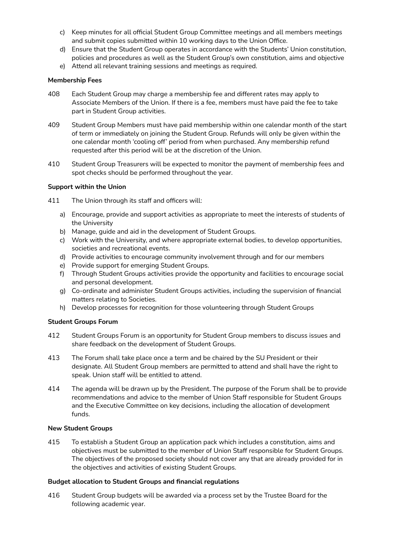- c) Keep minutes for all official Student Group Committee meetings and all members meetings and submit copies submitted within 10 working days to the Union Office.
- d) Ensure that the Student Group operates in accordance with the Students' Union constitution, policies and procedures as well as the Student Group's own constitution, aims and objective
- e) Attend all relevant training sessions and meetings as required.

### **Membership Fees**

- 408 Each Student Group may charge a membership fee and different rates may apply to Associate Members of the Union. If there is a fee, members must have paid the fee to take part in Student Group activities.
- 409 Student Group Members must have paid membership within one calendar month of the start of term or immediately on joining the Student Group. Refunds will only be given within the one calendar month 'cooling off' period from when purchased. Any membership refund requested after this period will be at the discretion of the Union.
- 410 Student Group Treasurers will be expected to monitor the payment of membership fees and spot checks should be performed throughout the year.

#### **Support within the Union**

- 411 The Union through its staff and officers will:
	- a) Encourage, provide and support activities as appropriate to meet the interests of students of the University
	- b) Manage, guide and aid in the development of Student Groups.
	- c) Work with the University, and where appropriate external bodies, to develop opportunities, societies and recreational events.
	- d) Provide activities to encourage community involvement through and for our members
	- e) Provide support for emerging Student Groups.
	- f) Through Student Groups activities provide the opportunity and facilities to encourage social and personal development.
	- g) Co-ordinate and administer Student Groups activities, including the supervision of financial matters relating to Societies.
	- h) Develop processes for recognition for those volunteering through Student Groups

#### **Student Groups Forum**

- 412 Student Groups Forum is an opportunity for Student Group members to discuss issues and share feedback on the development of Student Groups.
- 413 The Forum shall take place once a term and be chaired by the SU President or their designate. All Student Group members are permitted to attend and shall have the right to speak. Union staff will be entitled to attend.
- 414 The agenda will be drawn up by the President. The purpose of the Forum shall be to provide recommendations and advice to the member of Union Staff responsible for Student Groups and the Executive Committee on key decisions, including the allocation of development funds.

#### **New Student Groups**

415 To establish a Student Group an application pack which includes a constitution, aims and objectives must be submitted to the member of Union Staff responsible for Student Groups. The objectives of the proposed society should not cover any that are already provided for in the objectives and activities of existing Student Groups.

## **Budget allocation to Student Groups and financial regulations**

416 Student Group budgets will be awarded via a process set by the Trustee Board for the following academic year.